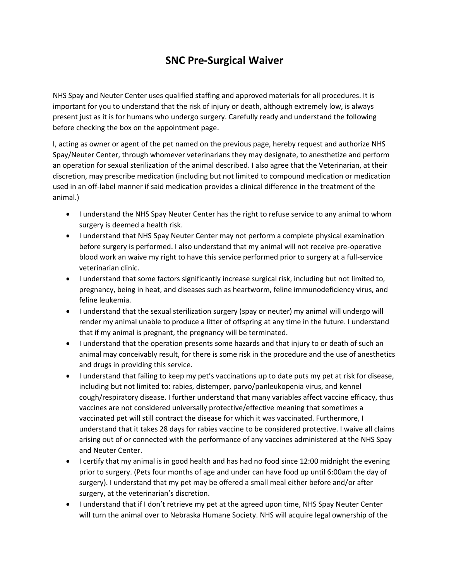## **SNC Pre-Surgical Waiver**

NHS Spay and Neuter Center uses qualified staffing and approved materials for all procedures. It is important for you to understand that the risk of injury or death, although extremely low, is always present just as it is for humans who undergo surgery. Carefully ready and understand the following before checking the box on the appointment page.

I, acting as owner or agent of the pet named on the previous page, hereby request and authorize NHS Spay/Neuter Center, through whomever veterinarians they may designate, to anesthetize and perform an operation for sexual sterilization of the animal described. I also agree that the Veterinarian, at their discretion, may prescribe medication (including but not limited to compound medication or medication used in an off-label manner if said medication provides a clinical difference in the treatment of the animal.)

- I understand the NHS Spay Neuter Center has the right to refuse service to any animal to whom surgery is deemed a health risk.
- I understand that NHS Spay Neuter Center may not perform a complete physical examination before surgery is performed. I also understand that my animal will not receive pre-operative blood work an waive my right to have this service performed prior to surgery at a full-service veterinarian clinic.
- I understand that some factors significantly increase surgical risk, including but not limited to, pregnancy, being in heat, and diseases such as heartworm, feline immunodeficiency virus, and feline leukemia.
- I understand that the sexual sterilization surgery (spay or neuter) my animal will undergo will render my animal unable to produce a litter of offspring at any time in the future. I understand that if my animal is pregnant, the pregnancy will be terminated.
- I understand that the operation presents some hazards and that injury to or death of such an animal may conceivably result, for there is some risk in the procedure and the use of anesthetics and drugs in providing this service.
- I understand that failing to keep my pet's vaccinations up to date puts my pet at risk for disease, including but not limited to: rabies, distemper, parvo/panleukopenia virus, and kennel cough/respiratory disease. I further understand that many variables affect vaccine efficacy, thus vaccines are not considered universally protective/effective meaning that sometimes a vaccinated pet will still contract the disease for which it was vaccinated. Furthermore, I understand that it takes 28 days for rabies vaccine to be considered protective. I waive all claims arising out of or connected with the performance of any vaccines administered at the NHS Spay and Neuter Center.
- I certify that my animal is in good health and has had no food since 12:00 midnight the evening prior to surgery. (Pets four months of age and under can have food up until 6:00am the day of surgery). I understand that my pet may be offered a small meal either before and/or after surgery, at the veterinarian's discretion.
- I understand that if I don't retrieve my pet at the agreed upon time, NHS Spay Neuter Center will turn the animal over to Nebraska Humane Society. NHS will acquire legal ownership of the